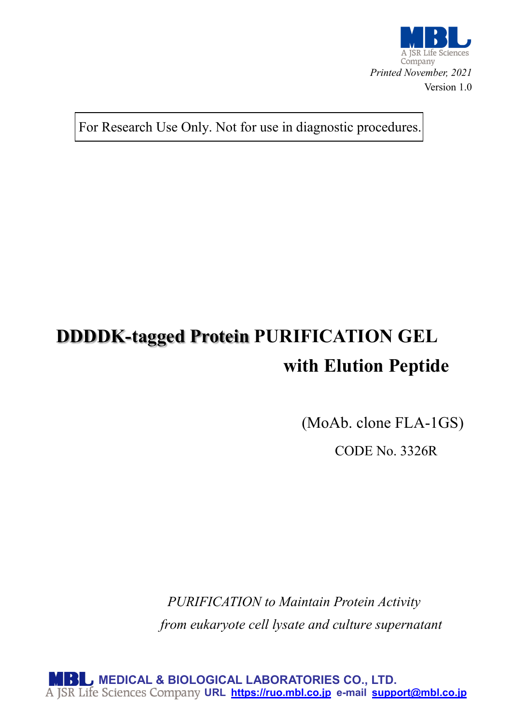

For Research Use Only. Not for use in diagnostic procedures.

# **DDDDK-tagged Protein PURIFICATION GEL with Elution Peptide**

(MoAb. clone FLA-1GS)

CODE No. 3326R

*PURIFICATION to Maintain Protein Activity from eukaryote cell lysate and culture supernatant*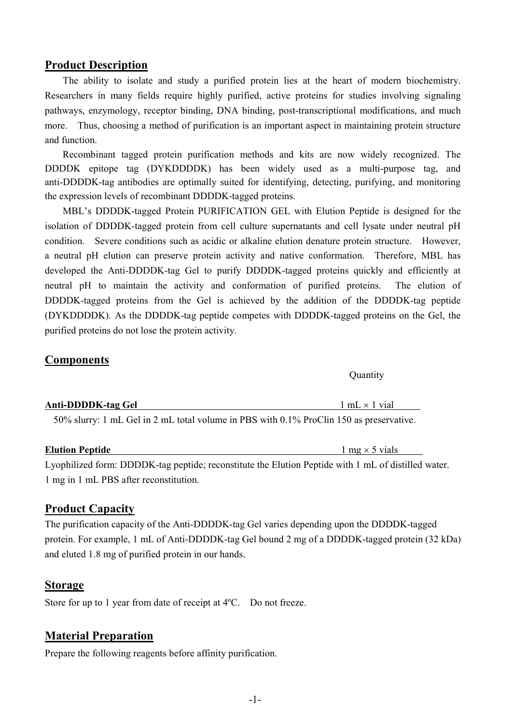# **Product Description**

The ability to isolate and study a purified protein lies at the heart of modern biochemistry. Researchers in many fields require highly purified, active proteins for studies involving signaling pathways, enzymology, receptor binding, DNA binding, post-transcriptional modifications, and much more. Thus, choosing a method of purification is an important aspect in maintaining protein structure and function.

Recombinant tagged protein purification methods and kits are now widely recognized. The DDDDK epitope tag (DYKDDDDK) has been widely used as a multi-purpose tag, and anti-DDDDK-tag antibodies are optimally suited for identifying, detecting, purifying, and monitoring the expression levels of recombinant DDDDK-tagged proteins.

MBL's DDDDK-tagged Protein PURIFICATION GEL with Elution Peptide is designed for the isolation of DDDDK-tagged protein from cell culture supernatants and cell lysate under neutral pH condition. Severe conditions such as acidic or alkaline elution denature protein structure. However, a neutral pH elution can preserve protein activity and native conformation. Therefore, MBL has developed the Anti-DDDDK-tag Gel to purify DDDDK-tagged proteins quickly and efficiently at neutral pH to maintain the activity and conformation of purified proteins. The elution of DDDDK-tagged proteins from the Gel is achieved by the addition of the DDDDK-tag peptide (DYKDDDDK). As the DDDDK-tag peptide competes with DDDDK-tagged proteins on the Gel, the purified proteins do not lose the protein activity.

# **Components**

| Anti-DDDDK-tag Gel | $1 mL \times 1$ vial |
|--------------------|----------------------|
|                    |                      |
|                    |                      |

50% slurry: 1 mL Gel in 2 mL total volume in PBS with 0.1% ProClin 150 as preservative.

## **Elution Peptide 1** mg × 5 vials

Lyophilized form: DDDDK-tag peptide; reconstitute the Elution Peptide with 1 mL of distilled water. 1 mg in 1 mL PBS after reconstitution.

# **Product Capacity**

The purification capacity of the Anti-DDDDK-tag Gel varies depending upon the DDDDK-tagged protein. For example, 1 mL of Anti-DDDDK-tag Gel bound 2 mg of a DDDDK-tagged protein (32 kDa) and eluted 1.8 mg of purified protein in our hands.

## **Storage**

Store for up to 1 year from date of receipt at 4ºC. Do not freeze.

# **Material Preparation**

Prepare the following reagents before affinity purification.

**Ouantity**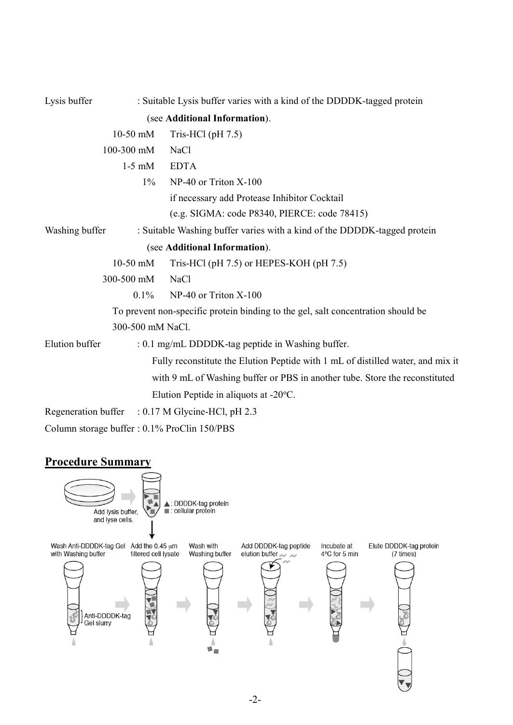| Lysis buffer   |                  | : Suitable Lysis buffer varies with a kind of the DDDDK-tagged protein           |  |
|----------------|------------------|----------------------------------------------------------------------------------|--|
|                |                  | (see Additional Information).                                                    |  |
|                | $10-50$ mM       | Tris-HCl $(\text{pH } 7.5)$                                                      |  |
|                | 100-300 mM       | <b>NaCl</b>                                                                      |  |
|                | $1-5$ mM         | <b>EDTA</b>                                                                      |  |
|                | $1\%$            | NP-40 or Triton X-100                                                            |  |
|                |                  | if necessary add Protease Inhibitor Cocktail                                     |  |
|                |                  | (e.g. SIGMA: code P8340, PIERCE: code 78415)                                     |  |
| Washing buffer |                  | : Suitable Washing buffer varies with a kind of the DDDDK-tagged protein         |  |
|                |                  | (see Additional Information).                                                    |  |
|                | $10-50$ mM       | Tris-HCl (pH 7.5) or HEPES-KOH (pH 7.5)                                          |  |
|                | 300-500 mM       | <b>NaCl</b>                                                                      |  |
|                | $0.1\%$          | NP-40 or Triton X-100                                                            |  |
|                |                  | To prevent non-specific protein binding to the gel, salt concentration should be |  |
|                | 300-500 mM NaCl. |                                                                                  |  |
| Elution buffer |                  | : 0.1 mg/mL DDDDK-tag peptide in Washing buffer.                                 |  |
|                |                  | Fully reconstitute the Elution Peptide with 1 mL of distilled water, and mix it  |  |
|                |                  | with 9 mL of Washing buffer or PBS in another tube. Store the reconstituted      |  |
|                |                  | Elution Peptide in aliquots at $-20^{\circ}$ C.                                  |  |
|                |                  | Regeneration buffer : 0.17 M Glycine-HCl, pH 2.3                                 |  |
|                |                  | Column storage buffer : 0.1% ProClin 150/PBS                                     |  |

# **Procedure Summary**

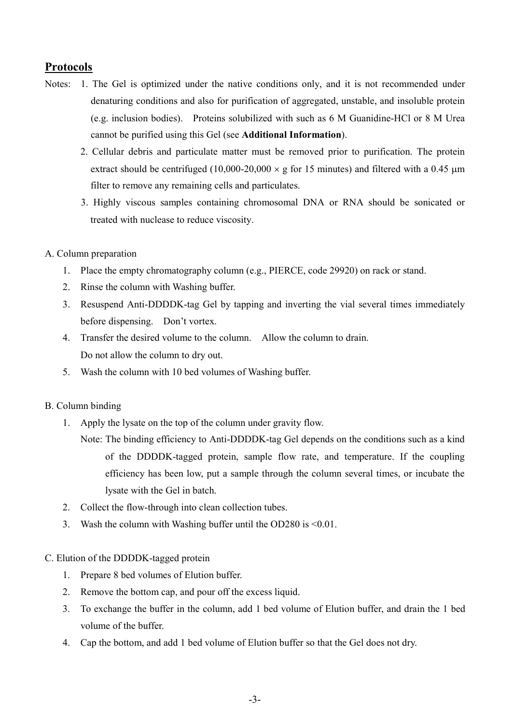# **Protocols**

- Notes: 1. The Gel is optimized under the native conditions only, and it is not recommended under denaturing conditions and also for purification of aggregated, unstable, and insoluble protein (e.g. inclusion bodies). Proteins solubilized with such as 6 M Guanidine-HCl or 8 M Urea cannot be purified using this Gel (see **Additional Information**).
	- 2. Cellular debris and particulate matter must be removed prior to purification. The protein extract should be centrifuged (10,000-20,000  $\times$  g for 15 minutes) and filtered with a 0.45  $\mu$ m filter to remove any remaining cells and particulates.
	- 3. Highly viscous samples containing chromosomal DNA or RNA should be sonicated or treated with nuclease to reduce viscosity.

## A. Column preparation

- 1. Place the empty chromatography column (e.g., PIERCE, code 29920) on rack or stand.
- 2. Rinse the column with Washing buffer.
- 3. Resuspend Anti-DDDDK-tag Gel by tapping and inverting the vial several times immediately before dispensing. Don't vortex.
- 4. Transfer the desired volume to the column. Allow the column to drain. Do not allow the column to dry out.
- 5. Wash the column with 10 bed volumes of Washing buffer.

## B. Column binding

- 1. Apply the lysate on the top of the column under gravity flow.
	- Note: The binding efficiency to Anti-DDDDK-tag Gel depends on the conditions such as a kind of the DDDDK-tagged protein, sample flow rate, and temperature. If the coupling efficiency has been low, put a sample through the column several times, or incubate the lysate with the Gel in batch.
- 2. Collect the flow-through into clean collection tubes.
- 3. Wash the column with Washing buffer until the OD280 is <0.01.

## C. Elution of the DDDDK-tagged protein

- 1. Prepare 8 bed volumes of Elution buffer.
- 2. Remove the bottom cap, and pour off the excess liquid.
- 3. To exchange the buffer in the column, add 1 bed volume of Elution buffer, and drain the 1 bed volume of the buffer.
- 4. Cap the bottom, and add 1 bed volume of Elution buffer so that the Gel does not dry.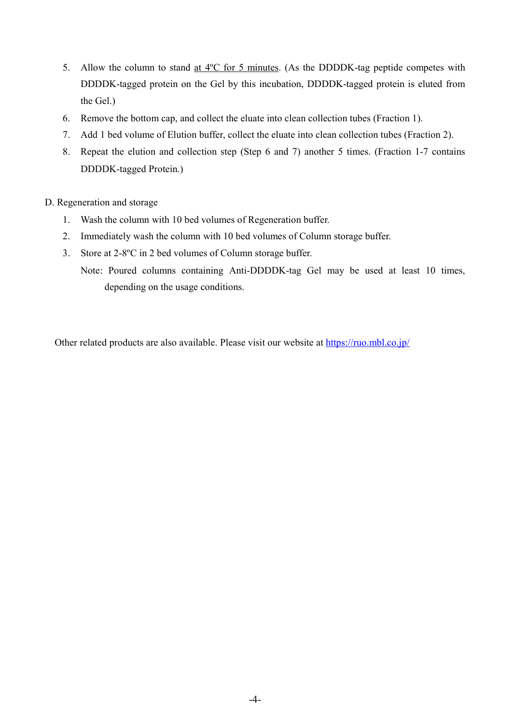- 5. Allow the column to stand at  $4^{\circ}$ C for 5 minutes. (As the DDDDK-tag peptide competes with DDDDK-tagged protein on the Gel by this incubation, DDDDK-tagged protein is eluted from the Gel.)
- 6. Remove the bottom cap, and collect the eluate into clean collection tubes (Fraction 1).
- 7. Add 1 bed volume of Elution buffer, collect the eluate into clean collection tubes (Fraction 2).
- 8. Repeat the elution and collection step (Step 6 and 7) another 5 times. (Fraction 1-7 contains DDDDK-tagged Protein.)
- D. Regeneration and storage
	- 1. Wash the column with 10 bed volumes of Regeneration buffer.
	- 2. Immediately wash the column with 10 bed volumes of Column storage buffer.
	- 3. Store at 2-8ºC in 2 bed volumes of Column storage buffer.
		- Note: Poured columns containing Anti-DDDDK-tag Gel may be used at least 10 times, depending on the usage conditions.

Other related products are also available. Please visit our website at<https://ruo.mbl.co.jp/>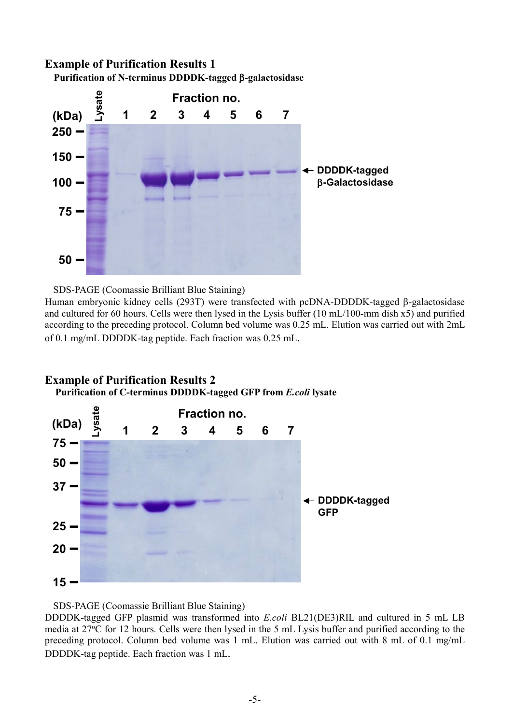# **Example of Purification Results 1 Purification of N-terminus DDDDK-tagged** β**-galactosidase**



# SDS-PAGE (Coomassie Brilliant Blue Staining)

Human embryonic kidney cells (293T) were transfected with pcDNA-DDDDK-tagged β-galactosidase and cultured for 60 hours. Cells were then lysed in the Lysis buffer (10 mL/100-mm dish x5) and purified according to the preceding protocol. Column bed volume was 0.25 mL. Elution was carried out with 2mL of 0.1 mg/mL DDDDK-tag peptide. Each fraction was 0.25 mL.



# **Example of Purification Results 2 Purification of C-terminus DDDDK-tagged GFP from** *E.coli* **lysate**

## SDS-PAGE (Coomassie Brilliant Blue Staining)

DDDDK-tagged GFP plasmid was transformed into *E.coli* BL21(DE3)RIL and cultured in 5 mL LB media at 27°C for 12 hours. Cells were then lysed in the 5 mL Lysis buffer and purified according to the preceding protocol. Column bed volume was 1 mL. Elution was carried out with 8 mL of 0.1 mg/mL DDDDK-tag peptide. Each fraction was 1 mL.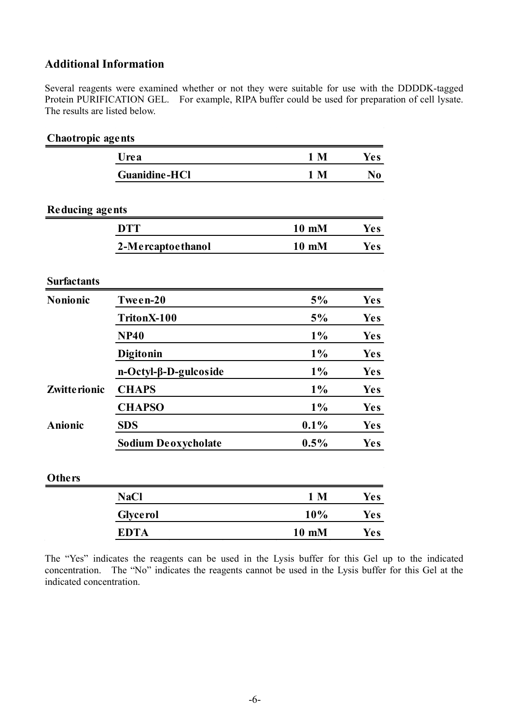# **Additional Information**

Several reagents were examined whether or not they were suitable for use with the DDDDK-tagged Protein PURIFICATION GEL. For example, RIPA buffer could be used for preparation of cell lysate. The results are listed below.

| Chaotropic agents      |                            |                |                |  |
|------------------------|----------------------------|----------------|----------------|--|
|                        | Urea                       | 1 <sub>M</sub> | <b>Yes</b>     |  |
|                        | <b>Guanidine-HCl</b>       | 1 <sub>M</sub> | N <sub>0</sub> |  |
| <b>Reducing agents</b> |                            |                |                |  |
|                        | <b>DTT</b>                 | 10 mM          | <b>Yes</b>     |  |
|                        | 2-Mercaptoethanol          | 10 mM          | <b>Yes</b>     |  |
| <b>Surfactants</b>     |                            |                |                |  |
| Nonionic               | Tween-20                   | 5%             | <b>Yes</b>     |  |
|                        | TritonX-100                | 5%             | <b>Yes</b>     |  |
|                        | <b>NP40</b>                | $1\%$          | <b>Yes</b>     |  |
|                        | Digitonin                  | $1\%$          | <b>Yes</b>     |  |
|                        | n-Octyl-β-D-gulcoside      | $1\%$          | Yes            |  |
| Zwitte rionic          | <b>CHAPS</b>               | $1\%$          | <b>Yes</b>     |  |
|                        | <b>CHAPSO</b>              | $1\%$          | <b>Yes</b>     |  |
| <b>Anionic</b>         | <b>SDS</b>                 | 0.1%           | <b>Yes</b>     |  |
|                        | <b>Sodium Deoxycholate</b> | 0.5%           | <b>Yes</b>     |  |
| Others                 |                            |                |                |  |
|                        | <b>NaCl</b>                | 1 <sub>M</sub> | <b>Yes</b>     |  |
|                        | <b>Glyce rol</b>           | 10%            | <b>Yes</b>     |  |
|                        | <b>EDTA</b>                | 10 mM          | <b>Yes</b>     |  |
|                        |                            |                |                |  |

The "Yes" indicates the reagents can be used in the Lysis buffer for this Gel up to the indicated concentration. The "No" indicates the reagents cannot be used in the Lysis buffer for this Gel at the indicated concentration.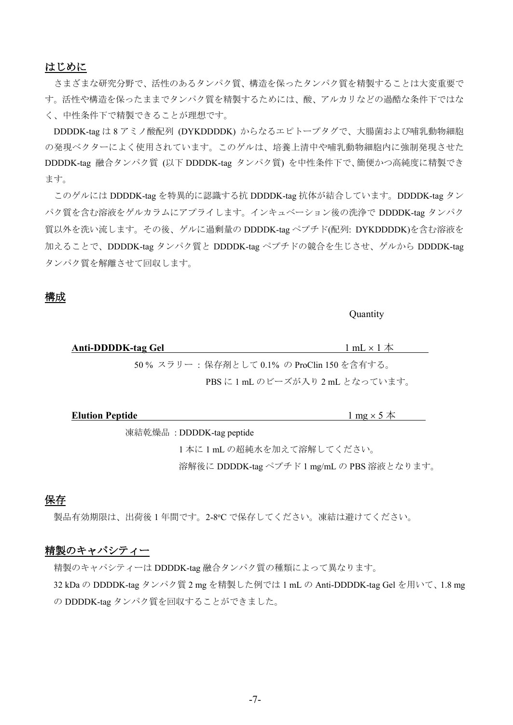# はじめに

さまざまな研究分野で、活性のあるタンパク質、構造を保ったタンパク質を精製することは大変重要で す。活性や構造を保ったままでタンパク質を精製するためには、酸、アルカリなどの過酷な条件下ではな く、中性条件下で精製できることが理想です。

DDDDK-tag は 8 アミノ酸配列 (DYKDDDDK) からなるエピトープタグで、大腸菌および哺乳動物細胞 の発現ベクターによく使用されています。このゲルは、培養上清中や哺乳動物細胞内に強制発現させた DDDDK-tag 融合タンパク質 (以下 DDDDK-tag タンパク質) を中性条件下で、簡便かつ高純度に精製でき ます。

このゲルには DDDDK-tag を特異的に認識する抗 DDDDK-tag 抗体が結合しています。DDDDK-tag タン パク質を含む溶液をゲルカラムにアプライします。インキュベーション後の洗浄で DDDDK-tag タンパク 質以外を洗い流します。その後、ゲルに過剰量の DDDDK-tag ペプチド(配列: DYKDDDDK)を含む溶液を 加えることで、DDDDK-tag タンパク質と DDDDK-tag ペプチドの競合を生じさせ、ゲルから DDDDK-tag タンパク質を解離させて回収します。

#### 構成

**Ouantity** 

**Anti-DDDDK-tag Gel** 1 mL × 1 本 50 % スラリー : 保存剤として 0.1% の ProClin 150 を含有する。 PBS に 1 mL のビーズが入り 2 mL となっています。

| <b>Elution Peptide</b> | __<br>$mg \times$<br>⚠ |
|------------------------|------------------------|
|                        |                        |

凍結乾燥品 : DDDDK-tag peptide

1 本に 1 mL の超純水を加えて溶解してください。 溶解後に DDDDK-tag ペプチド 1 mg/mL の PBS 溶液となります。

# 保存

製品有効期限は、出荷後1年間です。2-8℃で保存してください。凍結は避けてください。

# 精製のキャパシティー

精製のキャパシティーは DDDDK-tag 融合タンパク質の種類によって異なります。

32 kDa の DDDDK-tag タンパク質 2 mg を精製した例では 1 mL の Anti-DDDDK-tag Gel を用いて、1.8 mg の DDDDK-tag タンパク質を回収することができました。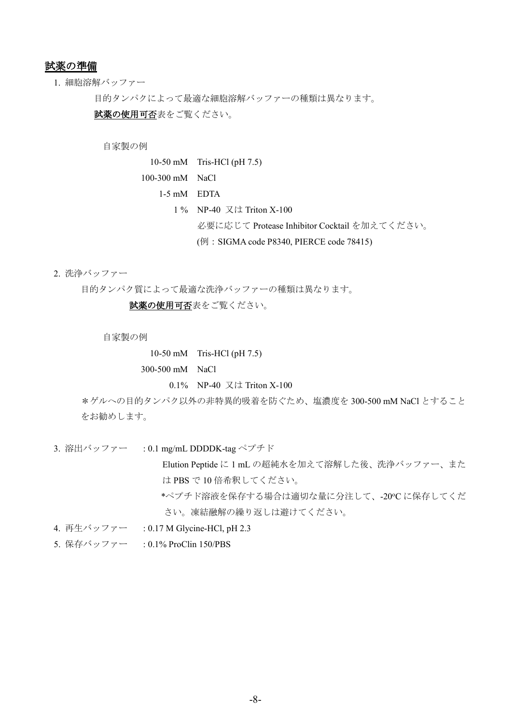# 試薬の準備

#### 1. 細胞溶解バッファー

目的タンパクによって最適な細胞溶解バッファーの種類は異なります。

試薬の使用可否表をご覧ください。

#### 自家製の例

- 10-50 mM Tris-HCl (pH 7.5)
- 100-300 mM NaCl
	- 1-5 mM EDTA
		- 1 % NP-40 又は Triton X-100
			- 必要に応じて Protease Inhibitor Cocktail を加えてください。
			- (例:SIGMA code P8340, PIERCE code 78415)
- 2. 洗浄バッファー

目的タンパク質によって最適な洗浄バッファーの種類は異なります。

試薬の使用可否表をご覧ください。

自家製の例

10-50 mM Tris-HCl (pH 7.5) 300-500 mM NaCl

0.1% NP-40 又は Triton X-100

\*ゲルへの目的タンパク以外の非特異的吸着を防ぐため、塩濃度を 300-500 mM NaCl とすること をお勧めします。

3. 溶出バッファー : 0.1 mg/mL DDDDK-tag ペプチド

Elution Peptide に 1 mL の超純水を加えて溶解した後、洗浄バッファー、また は PBS で 10 倍希釈してください。

\*ペプチド溶液を保存する場合は適切な量に分注して、-20℃に保存してくだ さい。凍結融解の繰り返しは避けてください。

- 4. 再生バッファー : 0.17 M Glycine-HCl, pH 2.3
- 5. 保存バッファー : 0.1% ProClin 150/PBS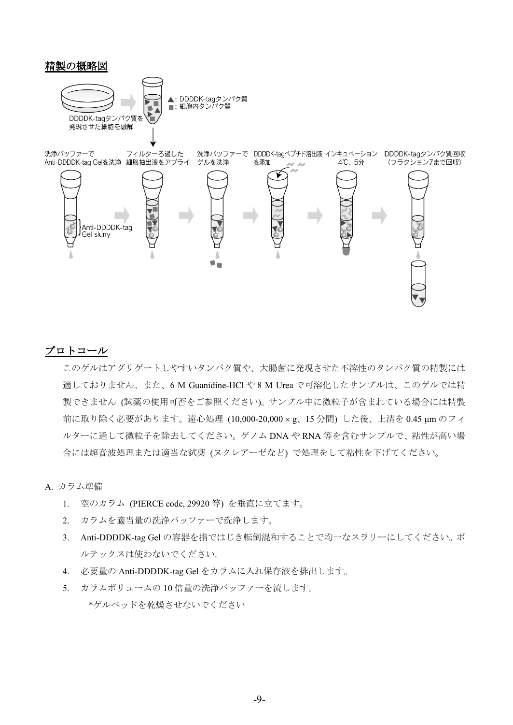# 精製の概略図



## プロトコール

このゲルはアグリゲートしやすいタンパク質や、大腸菌に発現させた不溶性のタンパク質の精製には 適しておりません。また、6 M Guanidine-HCl や 8 M Urea で可溶化したサンプルは、このゲルでは精 製できません (試薬の使用可否をご参照ください)。サンプル中に微粒子が含まれている場合には精製 前に取り除く必要があります。遠心処理 (10,000-20,000 × g、15 分間) した後、上清を 0.45 µm のフィ ルターに通して微粒子を除去してください。ゲノム DNA や RNA 等を含むサンプルで、粘性が高い場 合には超音波処理または適当な試薬 (ヌクレアーゼなど) で処理をして粘性を下げてください。

A. カラム準備

- 1. 空のカラム (PIERCE code, 29920 等) を垂直に立てます。
- 2. カラムを適当量の洗浄バッファーで洗浄します。
- 3. Anti-DDDDK-tag Gel の容器を指ではじき転倒混和することで均一なスラリーにしてください。ボ ルテックスは使わないでください。
- 4. 必要量の Anti-DDDDK-tag Gel をカラムに入れ保存液を排出します。
- 5. カラムボリュームの 10 倍量の洗浄バッファーを流します。 \*ゲルベッドを乾燥させないでください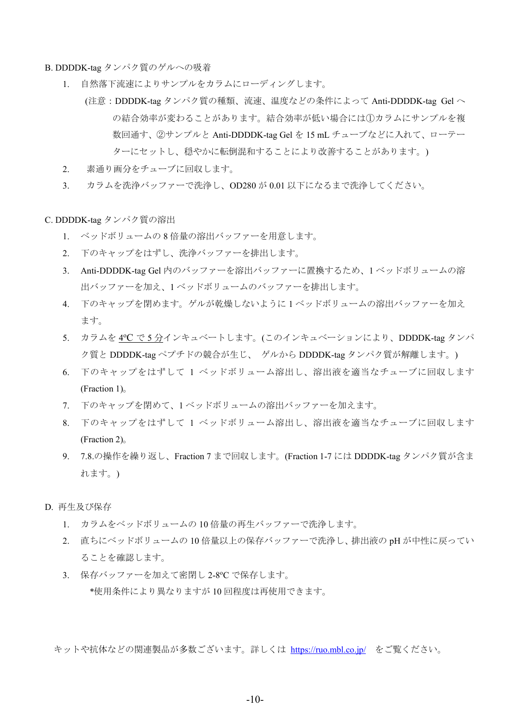B. DDDDK-tag タンパク質のゲルへの吸着

- 1. 自然落下流速によりサンプルをカラムにローディングします。
	- (注意:DDDDK-tag タンパク質の種類、流速、温度などの条件によって Anti-DDDDK-tag Gel へ の結合効率が変わることがあります。結合効率が低い場合には①カラムにサンプルを複 数回通す、②サンプルと Anti-DDDDK-tag Gel を 15 mL チューブなどに入れて、ローテー ターにセットし、穏やかに転倒混和することにより改善することがあります。)
- 2. 素通り画分をチューブに回収します。
- 3. カラムを洗浄バッファーで洗浄し、OD280 が 0.01 以下になるまで洗浄してください。

C. DDDDK-tag タンパク質の溶出

- 1. ベッドボリュームの 8 倍量の溶出バッファーを用意します。
- 2. 下のキャップをはずし、洗浄バッファーを排出します。
- 3. Anti-DDDDK-tag Gel 内のバッファーを溶出バッファーに置換するため、1 ベッドボリュームの溶 出バッファーを加え、1 ベッドボリュームのバッファーを排出します。
- 4. 下のキャップを閉めます。ゲルが乾燥しないように 1 ベッドボリュームの溶出バッファーを加え ます。
- 5. カラムを <u>4℃ で 5 分</u>インキュベートします。(このインキュベーションにより、<mark>DDDDK-</mark>tag タンパ ク質と DDDDK-tag ペプチドの競合が生じ、 ゲルから DDDDK-tag タンパク質が解離します。)
- 6. 下のキャップをはずして 1 ベッドボリューム溶出し、溶出液を適当なチューブに回収します (Fraction 1)。
- 7. 下のキャップを閉めて、1 ベッドボリュームの溶出バッファーを加えます。
- 8. 下のキャップをはずして 1 ベッドボリューム溶出し、溶出液を適当なチューブに回収します (Fraction 2)。
- 9. 7.8.の操作を繰り返し、Fraction 7 まで回収します。(Fraction 1-7 には DDDDK-tag タンパク質が含ま れます。)
- D. 再生及び保存
	- 1. カラムをベッドボリュームの 10 倍量の再生バッファーで洗浄します。
	- 2. 直ちにベッドボリュームの 10 倍量以上の保存バッファーで洗浄し、排出液の pH が中性に戻ってい ることを確認します。
	- 3. 保存バッファーを加えて密閉し 2-8℃ で保存します。 \*使用条件により異なりますが 10 回程度は再使用できます。

キットや抗体などの関連製品が多数ございます。詳しくは <https://ruo.mbl.co.jp/> をご覧ください。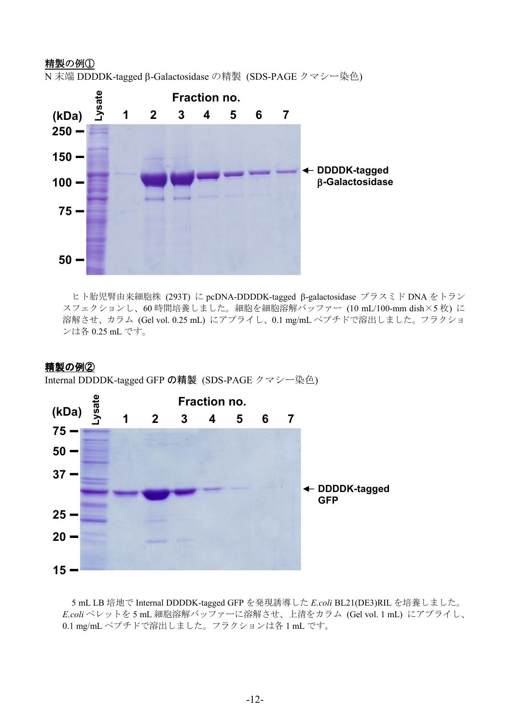# 精製の例①

N 末端 DDDDK-tagged β-Galactosidase の精製 (SDS-PAGE クマシー染色)



ヒト胎児腎由来細胞株 (293T) に pcDNA-DDDDK-tagged β-galactosidase プラスミド DNA をトラン スフェクションし、60 時間培養しました。細胞を細胞溶解バッファー (10 mL/100-mm dish×5 枚) に 溶解させ、カラム (Gel vol. 0.25 mL) にアプライし、0.1 mg/mL ペプチドで溶出しました。フラクショ ンは各 0.25 mL です。

# 精製の例②

Internal DDDDK-tagged GFP の精製 (SDS-PAGE クマシー染色)



5 mL LB 培地で Internal DDDDK-tagged GFP を発現誘導した *E.coli* BL21(DE3)RIL を培養しました。 *E.coli* ペレットを 5 mL 細胞溶解バッファーに溶解させ、上清をカラム (Gel vol. 1 mL) にアプライし、 0.1 mg/mL ペプチドで溶出しました。フラクションは各 1 mL です。